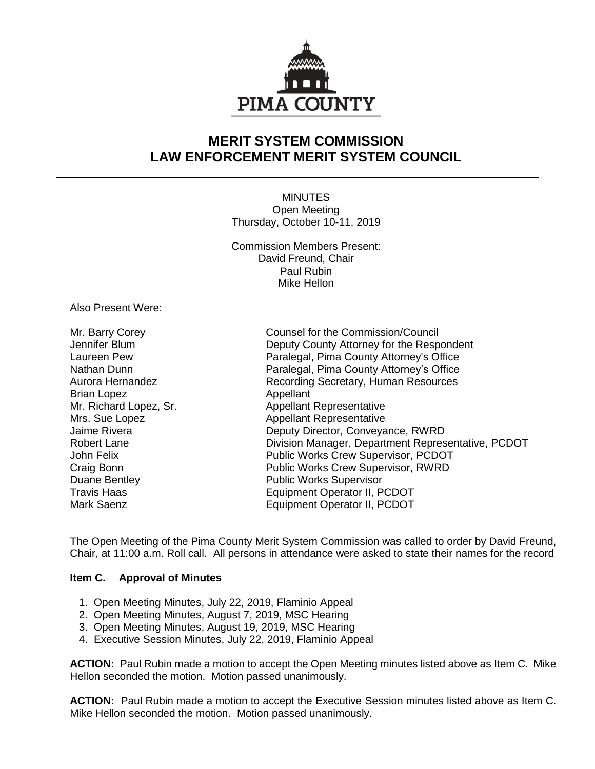

# **MERIT SYSTEM COMMISSION LAW ENFORCEMENT MERIT SYSTEM COUNCIL**

**MINUTES** Open Meeting Thursday, October 10-11, 2019

Commission Members Present: David Freund, Chair Paul Rubin Mike Hellon

Also Present Were:

Brian Lopez **Appellant** 

Mr. Barry Corey Counsel for the Commission/Council Jennifer Blum Deputy County Attorney for the Respondent Laureen Pew Paralegal, Pima County Attorney's Office Paralegal, Pima County Attorney's Office Aurora Hernandez **Recording Secretary, Human Resources** Mr. Richard Lopez, Sr. Appellant Representative Mrs. Sue Lopez **Appellant Representative** Jaime Rivera Deputy Director, Conveyance, RWRD Robert Lane **Division Manager, Department Representative, PCDOT** John Felix Public Works Crew Supervisor, PCDOT Craig Bonn Public Works Crew Supervisor, RWRD Duane Bentley **Public Works Supervisor** Travis Haas Equipment Operator II, PCDOT Mark Saenz **Equipment Operator II, PCDOT** 

The Open Meeting of the Pima County Merit System Commission was called to order by David Freund, Chair, at 11:00 a.m. Roll call. All persons in attendance were asked to state their names for the record

#### **Item C. Approval of Minutes**

- 1. Open Meeting Minutes, July 22, 2019, Flaminio Appeal
- 2. Open Meeting Minutes, August 7, 2019, MSC Hearing
- 3. Open Meeting Minutes, August 19, 2019, MSC Hearing
- 4. Executive Session Minutes, July 22, 2019, Flaminio Appeal

**ACTION:** Paul Rubin made a motion to accept the Open Meeting minutes listed above as Item C. Mike Hellon seconded the motion. Motion passed unanimously.

**ACTION:** Paul Rubin made a motion to accept the Executive Session minutes listed above as Item C. Mike Hellon seconded the motion. Motion passed unanimously.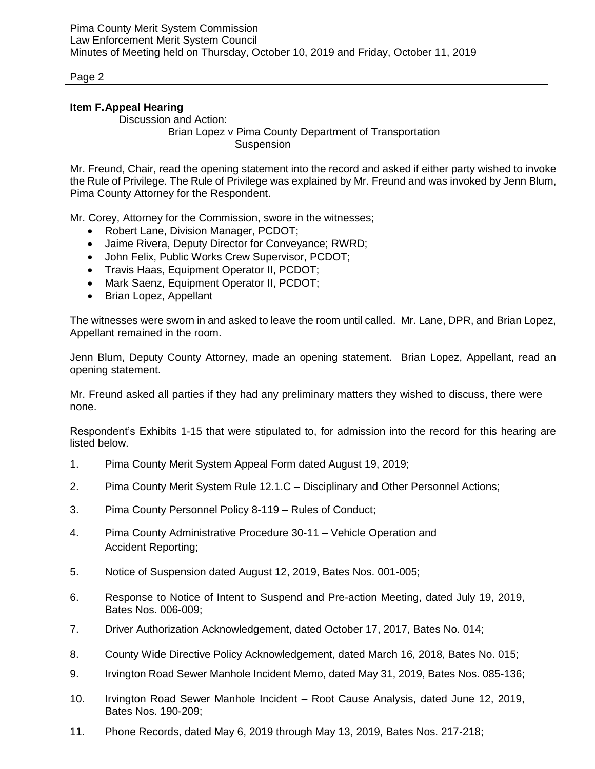# **Item F.Appeal Hearing**

Discussion and Action:

Brian Lopez v Pima County Department of Transportation Suspension

Mr. Freund, Chair, read the opening statement into the record and asked if either party wished to invoke the Rule of Privilege. The Rule of Privilege was explained by Mr. Freund and was invoked by Jenn Blum, Pima County Attorney for the Respondent.

Mr. Corey, Attorney for the Commission, swore in the witnesses;

- Robert Lane, Division Manager, PCDOT:
- Jaime Rivera, Deputy Director for Conveyance; RWRD;
- John Felix, Public Works Crew Supervisor, PCDOT;
- Travis Haas, Equipment Operator II, PCDOT;
- Mark Saenz, Equipment Operator II, PCDOT;
- Brian Lopez, Appellant

The witnesses were sworn in and asked to leave the room until called. Mr. Lane, DPR, and Brian Lopez, Appellant remained in the room.

Jenn Blum, Deputy County Attorney, made an opening statement. Brian Lopez, Appellant, read an opening statement.

Mr. Freund asked all parties if they had any preliminary matters they wished to discuss, there were none.

Respondent's Exhibits 1-15 that were stipulated to, for admission into the record for this hearing are listed below.

- 1. Pima County Merit System Appeal Form dated August 19, 2019;
- 2. Pima County Merit System Rule 12.1.C Disciplinary and Other Personnel Actions;
- 3. Pima County Personnel Policy 8-119 Rules of Conduct;
- 4. Pima County Administrative Procedure 30-11 Vehicle Operation and Accident Reporting;
- 5. Notice of Suspension dated August 12, 2019, Bates Nos. 001-005;
- 6. Response to Notice of Intent to Suspend and Pre-action Meeting, dated July 19, 2019, Bates Nos. 006-009;
- 7. Driver Authorization Acknowledgement, dated October 17, 2017, Bates No. 014;
- 8. County Wide Directive Policy Acknowledgement, dated March 16, 2018, Bates No. 015;
- 9. Irvington Road Sewer Manhole Incident Memo, dated May 31, 2019, Bates Nos. 085-136;
- 10. Irvington Road Sewer Manhole Incident Root Cause Analysis, dated June 12, 2019, Bates Nos. 190-209;
- 11. Phone Records, dated May 6, 2019 through May 13, 2019, Bates Nos. 217-218;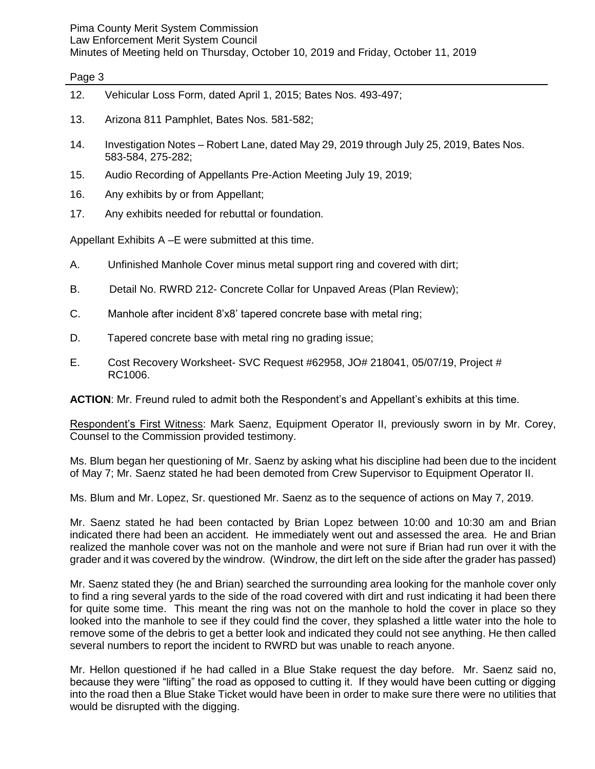# Pima County Merit System Commission

Law Enforcement Merit System Council

Minutes of Meeting held on Thursday, October 10, 2019 and Friday, October 11, 2019

## Page 3

- 12. Vehicular Loss Form, dated April 1, 2015; Bates Nos. 493-497;
- 13. Arizona 811 Pamphlet, Bates Nos. 581-582;
- 14. Investigation Notes Robert Lane, dated May 29, 2019 through July 25, 2019, Bates Nos. 583-584, 275-282;
- 15. Audio Recording of Appellants Pre-Action Meeting July 19, 2019;
- 16. Any exhibits by or from Appellant;
- 17. Any exhibits needed for rebuttal or foundation.

Appellant Exhibits A –E were submitted at this time.

- A. Unfinished Manhole Cover minus metal support ring and covered with dirt;
- B. Detail No. RWRD 212- Concrete Collar for Unpaved Areas (Plan Review);
- C. Manhole after incident 8'x8' tapered concrete base with metal ring;
- D. Tapered concrete base with metal ring no grading issue;
- E. Cost Recovery Worksheet- SVC Request #62958, JO# 218041, 05/07/19, Project # RC1006.

**ACTION**: Mr. Freund ruled to admit both the Respondent's and Appellant's exhibits at this time.

Respondent's First Witness: Mark Saenz, Equipment Operator II, previously sworn in by Mr. Corey, Counsel to the Commission provided testimony.

Ms. Blum began her questioning of Mr. Saenz by asking what his discipline had been due to the incident of May 7; Mr. Saenz stated he had been demoted from Crew Supervisor to Equipment Operator II.

Ms. Blum and Mr. Lopez, Sr. questioned Mr. Saenz as to the sequence of actions on May 7, 2019.

Mr. Saenz stated he had been contacted by Brian Lopez between 10:00 and 10:30 am and Brian indicated there had been an accident. He immediately went out and assessed the area. He and Brian realized the manhole cover was not on the manhole and were not sure if Brian had run over it with the grader and it was covered by the windrow. (Windrow, the dirt left on the side after the grader has passed)

Mr. Saenz stated they (he and Brian) searched the surrounding area looking for the manhole cover only to find a ring several yards to the side of the road covered with dirt and rust indicating it had been there for quite some time. This meant the ring was not on the manhole to hold the cover in place so they looked into the manhole to see if they could find the cover, they splashed a little water into the hole to remove some of the debris to get a better look and indicated they could not see anything. He then called several numbers to report the incident to RWRD but was unable to reach anyone.

Mr. Hellon questioned if he had called in a Blue Stake request the day before. Mr. Saenz said no, because they were "lifting" the road as opposed to cutting it. If they would have been cutting or digging into the road then a Blue Stake Ticket would have been in order to make sure there were no utilities that would be disrupted with the digging.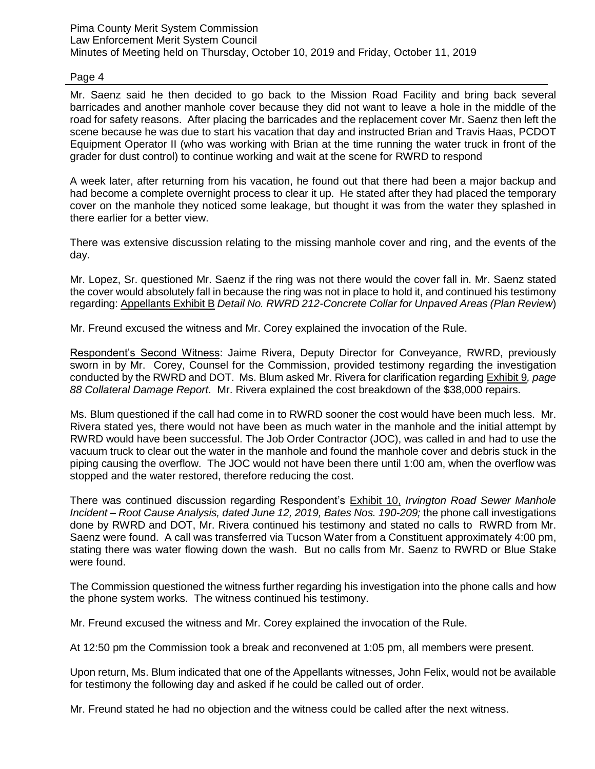Mr. Saenz said he then decided to go back to the Mission Road Facility and bring back several barricades and another manhole cover because they did not want to leave a hole in the middle of the road for safety reasons. After placing the barricades and the replacement cover Mr. Saenz then left the scene because he was due to start his vacation that day and instructed Brian and Travis Haas, PCDOT Equipment Operator II (who was working with Brian at the time running the water truck in front of the grader for dust control) to continue working and wait at the scene for RWRD to respond

A week later, after returning from his vacation, he found out that there had been a major backup and had become a complete overnight process to clear it up. He stated after they had placed the temporary cover on the manhole they noticed some leakage, but thought it was from the water they splashed in there earlier for a better view.

There was extensive discussion relating to the missing manhole cover and ring, and the events of the day.

Mr. Lopez, Sr. questioned Mr. Saenz if the ring was not there would the cover fall in. Mr. Saenz stated the cover would absolutely fall in because the ring was not in place to hold it, and continued his testimony regarding: Appellants Exhibit B *Detail No. RWRD 212-Concrete Collar for Unpaved Areas (Plan Review*)

Mr. Freund excused the witness and Mr. Corey explained the invocation of the Rule.

Respondent's Second Witness: Jaime Rivera, Deputy Director for Conveyance, RWRD, previously sworn in by Mr. Corey, Counsel for the Commission, provided testimony regarding the investigation conducted by the RWRD and DOT. Ms. Blum asked Mr. Rivera for clarification regarding Exhibit 9*, page 88 Collateral Damage Report*. Mr. Rivera explained the cost breakdown of the \$38,000 repairs.

Ms. Blum questioned if the call had come in to RWRD sooner the cost would have been much less. Mr. Rivera stated yes, there would not have been as much water in the manhole and the initial attempt by RWRD would have been successful. The Job Order Contractor (JOC), was called in and had to use the vacuum truck to clear out the water in the manhole and found the manhole cover and debris stuck in the piping causing the overflow. The JOC would not have been there until 1:00 am, when the overflow was stopped and the water restored, therefore reducing the cost.

There was continued discussion regarding Respondent's Exhibit 10, *Irvington Road Sewer Manhole Incident – Root Cause Analysis, dated June 12, 2019, Bates Nos. 190-209;* the phone call investigations done by RWRD and DOT, Mr. Rivera continued his testimony and stated no calls to RWRD from Mr. Saenz were found. A call was transferred via Tucson Water from a Constituent approximately 4:00 pm, stating there was water flowing down the wash. But no calls from Mr. Saenz to RWRD or Blue Stake were found.

The Commission questioned the witness further regarding his investigation into the phone calls and how the phone system works. The witness continued his testimony.

Mr. Freund excused the witness and Mr. Corey explained the invocation of the Rule.

At 12:50 pm the Commission took a break and reconvened at 1:05 pm, all members were present.

Upon return, Ms. Blum indicated that one of the Appellants witnesses, John Felix, would not be available for testimony the following day and asked if he could be called out of order.

Mr. Freund stated he had no objection and the witness could be called after the next witness.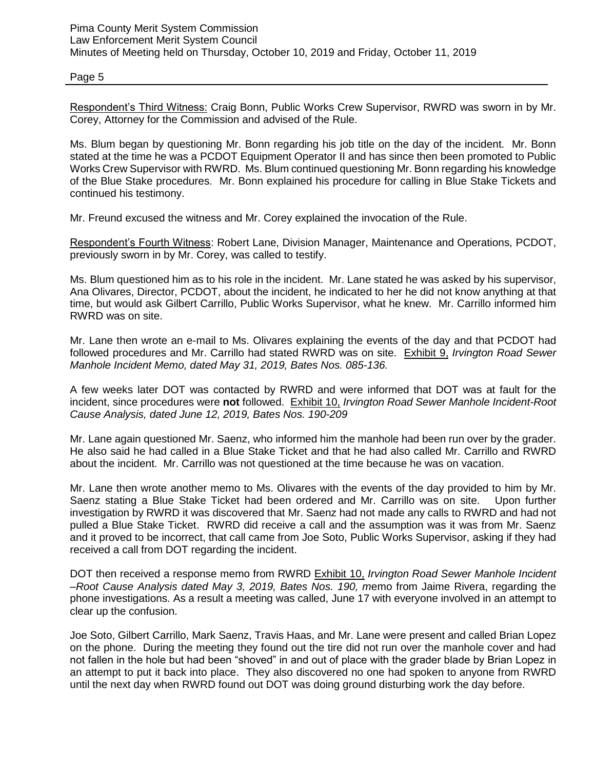Respondent's Third Witness: Craig Bonn, Public Works Crew Supervisor, RWRD was sworn in by Mr. Corey, Attorney for the Commission and advised of the Rule.

Ms. Blum began by questioning Mr. Bonn regarding his job title on the day of the incident. Mr. Bonn stated at the time he was a PCDOT Equipment Operator II and has since then been promoted to Public Works Crew Supervisor with RWRD. Ms. Blum continued questioning Mr. Bonn regarding his knowledge of the Blue Stake procedures. Mr. Bonn explained his procedure for calling in Blue Stake Tickets and continued his testimony.

Mr. Freund excused the witness and Mr. Corey explained the invocation of the Rule.

Respondent's Fourth Witness: Robert Lane, Division Manager, Maintenance and Operations, PCDOT, previously sworn in by Mr. Corey, was called to testify.

Ms. Blum questioned him as to his role in the incident. Mr. Lane stated he was asked by his supervisor, Ana Olivares, Director, PCDOT, about the incident, he indicated to her he did not know anything at that time, but would ask Gilbert Carrillo, Public Works Supervisor, what he knew. Mr. Carrillo informed him RWRD was on site.

Mr. Lane then wrote an e-mail to Ms. Olivares explaining the events of the day and that PCDOT had followed procedures and Mr. Carrillo had stated RWRD was on site. Exhibit 9, *Irvington Road Sewer Manhole Incident Memo, dated May 31, 2019, Bates Nos. 085-136.* 

A few weeks later DOT was contacted by RWRD and were informed that DOT was at fault for the incident, since procedures were **not** followed. Exhibit 10, *Irvington Road Sewer Manhole Incident-Root Cause Analysis, dated June 12, 2019, Bates Nos. 190-209*

Mr. Lane again questioned Mr. Saenz, who informed him the manhole had been run over by the grader. He also said he had called in a Blue Stake Ticket and that he had also called Mr. Carrillo and RWRD about the incident. Mr. Carrillo was not questioned at the time because he was on vacation.

Mr. Lane then wrote another memo to Ms. Olivares with the events of the day provided to him by Mr. Saenz stating a Blue Stake Ticket had been ordered and Mr. Carrillo was on site. Upon further investigation by RWRD it was discovered that Mr. Saenz had not made any calls to RWRD and had not pulled a Blue Stake Ticket. RWRD did receive a call and the assumption was it was from Mr. Saenz and it proved to be incorrect, that call came from Joe Soto, Public Works Supervisor, asking if they had received a call from DOT regarding the incident.

DOT then received a response memo from RWRD Exhibit 10, *Irvington Road Sewer Manhole Incident –Root Cause Analysis dated May 3, 2019, Bates Nos. 190, m*emo from Jaime Rivera, regarding the phone investigations. As a result a meeting was called, June 17 with everyone involved in an attempt to clear up the confusion.

Joe Soto, Gilbert Carrillo, Mark Saenz, Travis Haas, and Mr. Lane were present and called Brian Lopez on the phone. During the meeting they found out the tire did not run over the manhole cover and had not fallen in the hole but had been "shoved" in and out of place with the grader blade by Brian Lopez in an attempt to put it back into place. They also discovered no one had spoken to anyone from RWRD until the next day when RWRD found out DOT was doing ground disturbing work the day before.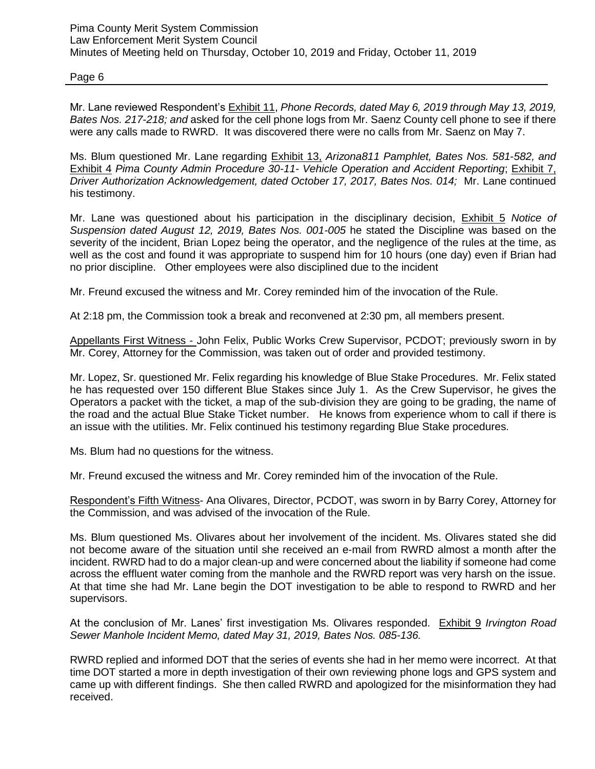Mr. Lane reviewed Respondent's Exhibit 11, *Phone Records, dated May 6, 2019 through May 13, 2019, Bates Nos. 217-218; and* asked for the cell phone logs from Mr. Saenz County cell phone to see if there were any calls made to RWRD. It was discovered there were no calls from Mr. Saenz on May 7.

Ms. Blum questioned Mr. Lane regarding Exhibit 13, *Arizona811 Pamphlet, Bates Nos. 581*-*582, and*  Exhibit 4 *Pima County Admin Procedure 30-11- Vehicle Operation and Accident Reporting*; Exhibit 7, *Driver Authorization Acknowledgement, dated October 17, 2017, Bates Nos. 014;* Mr. Lane continued his testimony.

Mr. Lane was questioned about his participation in the disciplinary decision, Exhibit 5 *Notice of Suspension dated August 12, 2019, Bates Nos. 001-005* he stated the Discipline was based on the severity of the incident, Brian Lopez being the operator, and the negligence of the rules at the time, as well as the cost and found it was appropriate to suspend him for 10 hours (one day) even if Brian had no prior discipline. Other employees were also disciplined due to the incident

Mr. Freund excused the witness and Mr. Corey reminded him of the invocation of the Rule.

At 2:18 pm, the Commission took a break and reconvened at 2:30 pm, all members present.

Appellants First Witness - John Felix, Public Works Crew Supervisor, PCDOT; previously sworn in by Mr. Corey, Attorney for the Commission, was taken out of order and provided testimony.

Mr. Lopez, Sr. questioned Mr. Felix regarding his knowledge of Blue Stake Procedures. Mr. Felix stated he has requested over 150 different Blue Stakes since July 1. As the Crew Supervisor, he gives the Operators a packet with the ticket, a map of the sub-division they are going to be grading, the name of the road and the actual Blue Stake Ticket number. He knows from experience whom to call if there is an issue with the utilities. Mr. Felix continued his testimony regarding Blue Stake procedures.

Ms. Blum had no questions for the witness.

Mr. Freund excused the witness and Mr. Corey reminded him of the invocation of the Rule.

Respondent's Fifth Witness- Ana Olivares, Director, PCDOT, was sworn in by Barry Corey, Attorney for the Commission, and was advised of the invocation of the Rule.

Ms. Blum questioned Ms. Olivares about her involvement of the incident. Ms. Olivares stated she did not become aware of the situation until she received an e-mail from RWRD almost a month after the incident. RWRD had to do a major clean-up and were concerned about the liability if someone had come across the effluent water coming from the manhole and the RWRD report was very harsh on the issue. At that time she had Mr. Lane begin the DOT investigation to be able to respond to RWRD and her supervisors.

At the conclusion of Mr. Lanes' first investigation Ms. Olivares responded. Exhibit 9 *Irvington Road Sewer Manhole Incident Memo, dated May 31, 2019, Bates Nos. 085-136.* 

RWRD replied and informed DOT that the series of events she had in her memo were incorrect. At that time DOT started a more in depth investigation of their own reviewing phone logs and GPS system and came up with different findings. She then called RWRD and apologized for the misinformation they had received.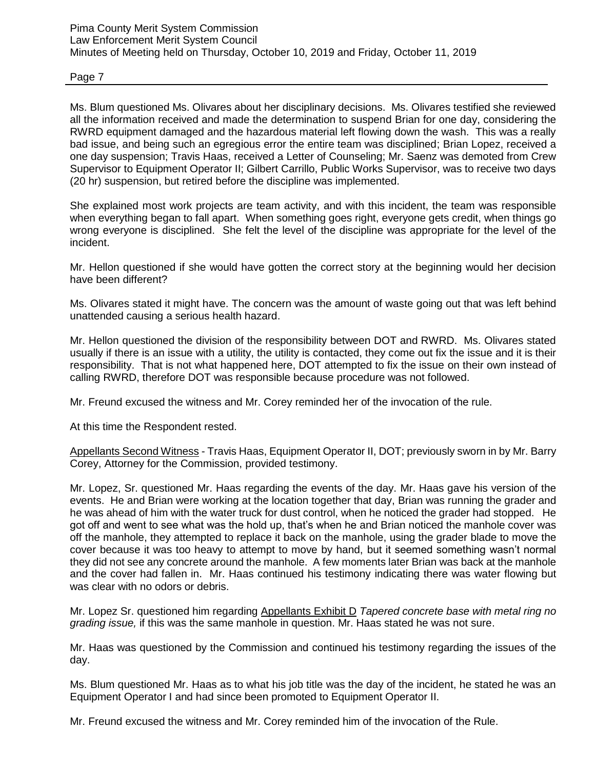Ms. Blum questioned Ms. Olivares about her disciplinary decisions. Ms. Olivares testified she reviewed all the information received and made the determination to suspend Brian for one day, considering the RWRD equipment damaged and the hazardous material left flowing down the wash. This was a really bad issue, and being such an egregious error the entire team was disciplined; Brian Lopez, received a one day suspension; Travis Haas, received a Letter of Counseling; Mr. Saenz was demoted from Crew Supervisor to Equipment Operator II; Gilbert Carrillo, Public Works Supervisor, was to receive two days (20 hr) suspension, but retired before the discipline was implemented.

She explained most work projects are team activity, and with this incident, the team was responsible when everything began to fall apart. When something goes right, everyone gets credit, when things go wrong everyone is disciplined. She felt the level of the discipline was appropriate for the level of the incident.

Mr. Hellon questioned if she would have gotten the correct story at the beginning would her decision have been different?

Ms. Olivares stated it might have. The concern was the amount of waste going out that was left behind unattended causing a serious health hazard.

Mr. Hellon questioned the division of the responsibility between DOT and RWRD. Ms. Olivares stated usually if there is an issue with a utility, the utility is contacted, they come out fix the issue and it is their responsibility. That is not what happened here, DOT attempted to fix the issue on their own instead of calling RWRD, therefore DOT was responsible because procedure was not followed.

Mr. Freund excused the witness and Mr. Corey reminded her of the invocation of the rule.

At this time the Respondent rested.

Appellants Second Witness - Travis Haas, Equipment Operator II, DOT; previously sworn in by Mr. Barry Corey, Attorney for the Commission, provided testimony.

Mr. Lopez, Sr. questioned Mr. Haas regarding the events of the day. Mr. Haas gave his version of the events. He and Brian were working at the location together that day, Brian was running the grader and he was ahead of him with the water truck for dust control, when he noticed the grader had stopped. He got off and went to see what was the hold up, that's when he and Brian noticed the manhole cover was off the manhole, they attempted to replace it back on the manhole, using the grader blade to move the cover because it was too heavy to attempt to move by hand, but it seemed something wasn't normal they did not see any concrete around the manhole. A few moments later Brian was back at the manhole and the cover had fallen in. Mr. Haas continued his testimony indicating there was water flowing but was clear with no odors or debris.

Mr. Lopez Sr. questioned him regarding Appellants Exhibit D *Tapered concrete base with metal ring no grading issue,* if this was the same manhole in question. Mr. Haas stated he was not sure.

Mr. Haas was questioned by the Commission and continued his testimony regarding the issues of the day.

Ms. Blum questioned Mr. Haas as to what his job title was the day of the incident, he stated he was an Equipment Operator I and had since been promoted to Equipment Operator II.

Mr. Freund excused the witness and Mr. Corey reminded him of the invocation of the Rule.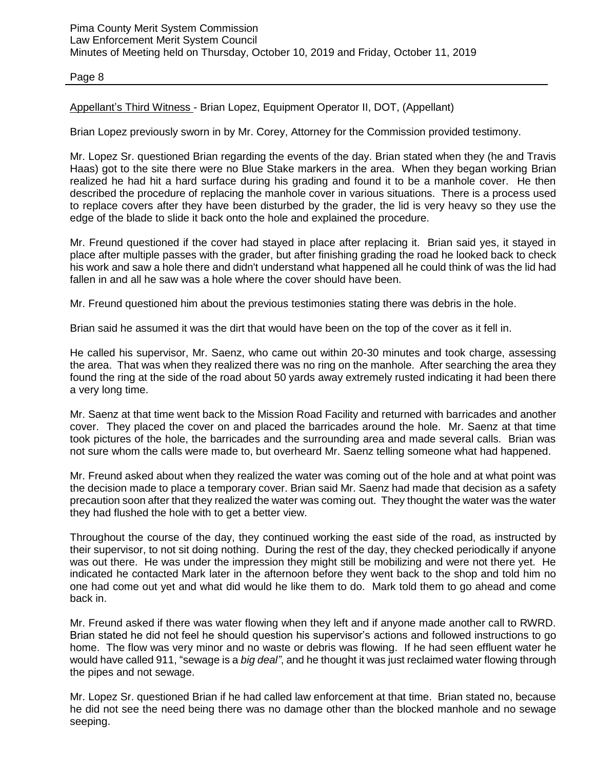Appellant's Third Witness - Brian Lopez, Equipment Operator II, DOT, (Appellant)

Brian Lopez previously sworn in by Mr. Corey, Attorney for the Commission provided testimony.

Mr. Lopez Sr. questioned Brian regarding the events of the day. Brian stated when they (he and Travis Haas) got to the site there were no Blue Stake markers in the area. When they began working Brian realized he had hit a hard surface during his grading and found it to be a manhole cover. He then described the procedure of replacing the manhole cover in various situations. There is a process used to replace covers after they have been disturbed by the grader, the lid is very heavy so they use the edge of the blade to slide it back onto the hole and explained the procedure.

Mr. Freund questioned if the cover had stayed in place after replacing it. Brian said yes, it stayed in place after multiple passes with the grader, but after finishing grading the road he looked back to check his work and saw a hole there and didn't understand what happened all he could think of was the lid had fallen in and all he saw was a hole where the cover should have been.

Mr. Freund questioned him about the previous testimonies stating there was debris in the hole.

Brian said he assumed it was the dirt that would have been on the top of the cover as it fell in.

He called his supervisor, Mr. Saenz, who came out within 20-30 minutes and took charge, assessing the area. That was when they realized there was no ring on the manhole. After searching the area they found the ring at the side of the road about 50 yards away extremely rusted indicating it had been there a very long time.

Mr. Saenz at that time went back to the Mission Road Facility and returned with barricades and another cover. They placed the cover on and placed the barricades around the hole. Mr. Saenz at that time took pictures of the hole, the barricades and the surrounding area and made several calls. Brian was not sure whom the calls were made to, but overheard Mr. Saenz telling someone what had happened.

Mr. Freund asked about when they realized the water was coming out of the hole and at what point was the decision made to place a temporary cover. Brian said Mr. Saenz had made that decision as a safety precaution soon after that they realized the water was coming out. They thought the water was the water they had flushed the hole with to get a better view.

Throughout the course of the day, they continued working the east side of the road, as instructed by their supervisor, to not sit doing nothing. During the rest of the day, they checked periodically if anyone was out there. He was under the impression they might still be mobilizing and were not there yet. He indicated he contacted Mark later in the afternoon before they went back to the shop and told him no one had come out yet and what did would he like them to do. Mark told them to go ahead and come back in.

Mr. Freund asked if there was water flowing when they left and if anyone made another call to RWRD. Brian stated he did not feel he should question his supervisor's actions and followed instructions to go home. The flow was very minor and no waste or debris was flowing. If he had seen effluent water he would have called 911, "sewage is a *big deal"*, and he thought it was just reclaimed water flowing through the pipes and not sewage.

Mr. Lopez Sr. questioned Brian if he had called law enforcement at that time. Brian stated no, because he did not see the need being there was no damage other than the blocked manhole and no sewage seeping.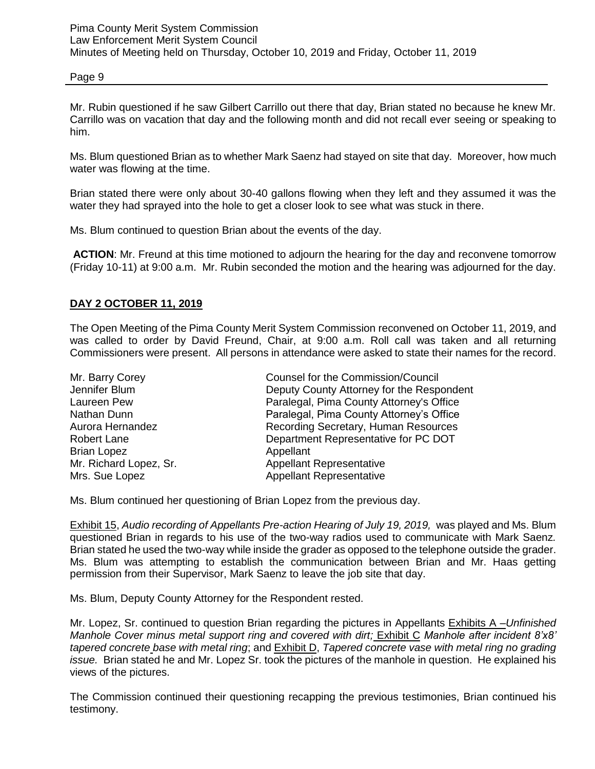Mr. Rubin questioned if he saw Gilbert Carrillo out there that day, Brian stated no because he knew Mr. Carrillo was on vacation that day and the following month and did not recall ever seeing or speaking to him.

Ms. Blum questioned Brian as to whether Mark Saenz had stayed on site that day. Moreover, how much water was flowing at the time.

Brian stated there were only about 30-40 gallons flowing when they left and they assumed it was the water they had sprayed into the hole to get a closer look to see what was stuck in there.

Ms. Blum continued to question Brian about the events of the day.

**ACTION**: Mr. Freund at this time motioned to adjourn the hearing for the day and reconvene tomorrow (Friday 10-11) at 9:00 a.m. Mr. Rubin seconded the motion and the hearing was adjourned for the day.

## **DAY 2 OCTOBER 11, 2019**

The Open Meeting of the Pima County Merit System Commission reconvened on October 11, 2019, and was called to order by David Freund, Chair, at 9:00 a.m. Roll call was taken and all returning Commissioners were present. All persons in attendance were asked to state their names for the record.

| Mr. Barry Corey        | Counsel for the Commission/Council        |
|------------------------|-------------------------------------------|
| Jennifer Blum          | Deputy County Attorney for the Respondent |
| Laureen Pew            | Paralegal, Pima County Attorney's Office  |
| Nathan Dunn            | Paralegal, Pima County Attorney's Office  |
| Aurora Hernandez       | Recording Secretary, Human Resources      |
| Robert Lane            | Department Representative for PC DOT      |
| <b>Brian Lopez</b>     | Appellant                                 |
| Mr. Richard Lopez, Sr. | <b>Appellant Representative</b>           |
| Mrs. Sue Lopez         | <b>Appellant Representative</b>           |

Ms. Blum continued her questioning of Brian Lopez from the previous day.

Exhibit 15, *Audio recording of Appellants Pre-action Hearing of July 19, 2019, was played and Ms. Blum* questioned Brian in regards to his use of the two-way radios used to communicate with Mark Saenz*.*  Brian stated he used the two-way while inside the grader as opposed to the telephone outside the grader. Ms. Blum was attempting to establish the communication between Brian and Mr. Haas getting permission from their Supervisor, Mark Saenz to leave the job site that day.

Ms. Blum, Deputy County Attorney for the Respondent rested.

Mr. Lopez, Sr. continued to question Brian regarding the pictures in Appellants Exhibits A –*Unfinished Manhole Cover minus metal support ring and covered with dirt;* Exhibit C *Manhole after incident 8'x8' tapered concrete base with metal ring*; and Exhibit D, *Tapered concrete vase with metal ring no grading issue.* Brian stated he and Mr. Lopez Sr. took the pictures of the manhole in question. He explained his views of the pictures.

The Commission continued their questioning recapping the previous testimonies, Brian continued his testimony.